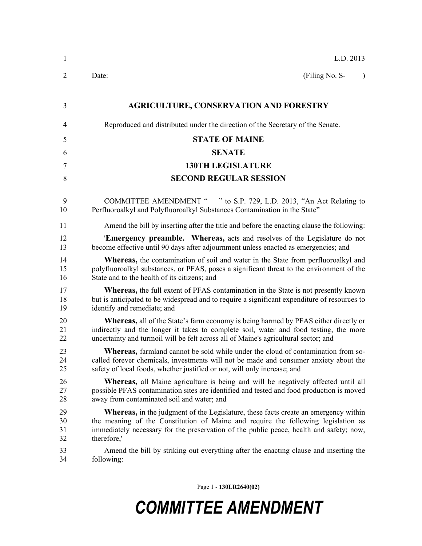| 1                    | L.D. 2013                                                                                                                                                                                                                                                                                  |  |  |
|----------------------|--------------------------------------------------------------------------------------------------------------------------------------------------------------------------------------------------------------------------------------------------------------------------------------------|--|--|
| 2                    | (Filing No. S-<br>Date:<br>$\lambda$                                                                                                                                                                                                                                                       |  |  |
| 3                    | <b>AGRICULTURE, CONSERVATION AND FORESTRY</b>                                                                                                                                                                                                                                              |  |  |
| 4                    | Reproduced and distributed under the direction of the Secretary of the Senate.                                                                                                                                                                                                             |  |  |
| 5                    | <b>STATE OF MAINE</b>                                                                                                                                                                                                                                                                      |  |  |
| 6                    | <b>SENATE</b>                                                                                                                                                                                                                                                                              |  |  |
| 7                    | <b>130TH LEGISLATURE</b>                                                                                                                                                                                                                                                                   |  |  |
| 8                    | <b>SECOND REGULAR SESSION</b>                                                                                                                                                                                                                                                              |  |  |
| 9<br>10              | COMMITTEE AMENDMENT " " to S.P. 729, L.D. 2013, "An Act Relating to<br>Perfluoroalkyl and Polyfluoroalkyl Substances Contamination in the State"                                                                                                                                           |  |  |
| 11                   | Amend the bill by inserting after the title and before the enacting clause the following:                                                                                                                                                                                                  |  |  |
| 12<br>13             | <b>Emergency preamble.</b> Whereas, acts and resolves of the Legislature do not<br>become effective until 90 days after adjournment unless enacted as emergencies; and                                                                                                                     |  |  |
| 14<br>15<br>16       | <b>Whereas,</b> the contamination of soil and water in the State from perfluoroalkyl and<br>polyfluoroalkyl substances, or PFAS, poses a significant threat to the environment of the<br>State and to the health of its citizens; and                                                      |  |  |
| 17<br>18<br>19       | <b>Whereas,</b> the full extent of PFAS contamination in the State is not presently known<br>but is anticipated to be widespread and to require a significant expenditure of resources to<br>identify and remediate; and                                                                   |  |  |
| 20<br>21<br>22       | <b>Whereas,</b> all of the State's farm economy is being harmed by PFAS either directly or<br>indirectly and the longer it takes to complete soil, water and food testing, the more<br>uncertainty and turmoil will be felt across all of Maine's agricultural sector; and                 |  |  |
| 23<br>24<br>25       | <b>Whereas,</b> farmland cannot be sold while under the cloud of contamination from so-<br>called forever chemicals, investments will not be made and consumer anxiety about the<br>safety of local foods, whether justified or not, will only increase; and                               |  |  |
| 26<br>27<br>28       | <b>Whereas,</b> all Maine agriculture is being and will be negatively affected until all<br>possible PFAS contamination sites are identified and tested and food production is moved<br>away from contaminated soil and water; and                                                         |  |  |
| 29<br>30<br>31<br>32 | <b>Whereas</b> , in the judgment of the Legislature, these facts create an emergency within<br>the meaning of the Constitution of Maine and require the following legislation as<br>immediately necessary for the preservation of the public peace, health and safety; now,<br>therefore,' |  |  |
| 33<br>34             | Amend the bill by striking out everything after the enacting clause and inserting the<br>following:                                                                                                                                                                                        |  |  |
|                      |                                                                                                                                                                                                                                                                                            |  |  |

Page 1 - **130LR2640(02)**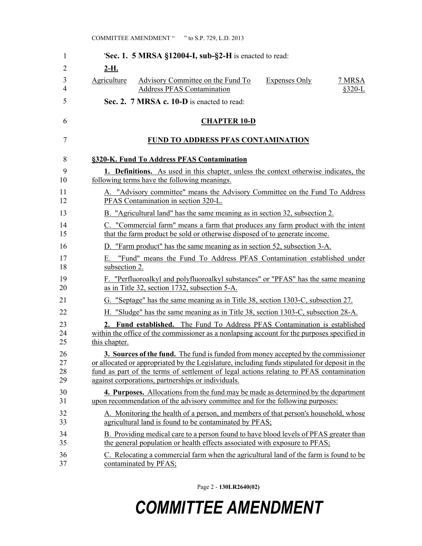| 1                   | 'Sec. 1. 5 MRSA §12004-I, sub-§2-H is enacted to read:                                                                              |
|---------------------|-------------------------------------------------------------------------------------------------------------------------------------|
| $\overline{2}$      | $2-H.$                                                                                                                              |
| 3<br>$\overline{4}$ | Agriculture<br>Advisory Committee on the Fund To<br><b>Expenses Only</b><br>7 MRSA<br><b>Address PFAS Contamination</b><br>$§320-L$ |
| 5                   | Sec. 2. 7 MRSA c. 10-D is enacted to read:                                                                                          |
| 6                   | <b>CHAPTER 10-D</b>                                                                                                                 |
| 7                   | <b>FUND TO ADDRESS PFAS CONTAMINATION</b>                                                                                           |
| 8                   | §320-K. Fund To Address PFAS Contamination                                                                                          |
| 9                   | 1. Definitions. As used in this chapter, unless the context otherwise indicates, the                                                |
| 10                  | following terms have the following meanings.                                                                                        |
| 11                  | A. "Advisory committee" means the Advisory Committee on the Fund To Address                                                         |
| 12                  | PFAS Contamination in section 320-L.                                                                                                |
| 13                  | B. "Agricultural land" has the same meaning as in section 32, subsection 2.                                                         |
| 14                  | C. "Commercial farm" means a farm that produces any farm product with the intent                                                    |
| 15                  | that the farm product be sold or otherwise disposed of to generate income.                                                          |
| 16                  | D. "Farm product" has the same meaning as in section 52, subsection 3-A.                                                            |
| 17                  | E. "Fund" means the Fund To Address PFAS Contamination established under                                                            |
| 18                  | subsection 2.                                                                                                                       |
| 19                  | F. "Perfluoroalkyl and polyfluoroalkyl substances" or "PFAS" has the same meaning                                                   |
| 20                  | as in Title 32, section 1732, subsection 5-A.                                                                                       |
| 21                  | G. "Septage" has the same meaning as in Title 38, section 1303-C, subsection 27.                                                    |
| 22                  | H. "Sludge" has the same meaning as in Title 38, section 1303-C, subsection 28-A.                                                   |
| 23                  | 2. Fund established. The Fund To Address PFAS Contamination is established                                                          |
| 24                  | within the office of the commissioner as a nonlapsing account for the purposes specified in                                         |
| 25                  | this chapter.                                                                                                                       |
| 26                  | 3. Sources of the fund. The fund is funded from money accepted by the commissioner                                                  |
| 27                  | or allocated or appropriated by the Legislature, including funds stipulated for deposit in the                                      |
| 28                  | fund as part of the terms of settlement of legal actions relating to PFAS contamination                                             |
| 29                  | against corporations, partnerships or individuals.                                                                                  |
| 30                  | <b>4. Purposes.</b> Allocations from the fund may be made as determined by the department                                           |
| 31                  | upon recommendation of the advisory committee and for the following purposes:                                                       |
| 32                  | A. Monitoring the health of a person, and members of that person's household, whose                                                 |
| 33                  | agricultural land is found to be contaminated by PFAS;                                                                              |
| 34                  | B. Providing medical care to a person found to have blood levels of PFAS greater than                                               |
| 35                  | the general population or health effects associated with exposure to PFAS;                                                          |
| 36                  | C. Relocating a commercial farm when the agricultural land of the farm is found to be                                               |
| 37                  | contaminated by PFAS;                                                                                                               |

Page 2 - **130LR2640(02)**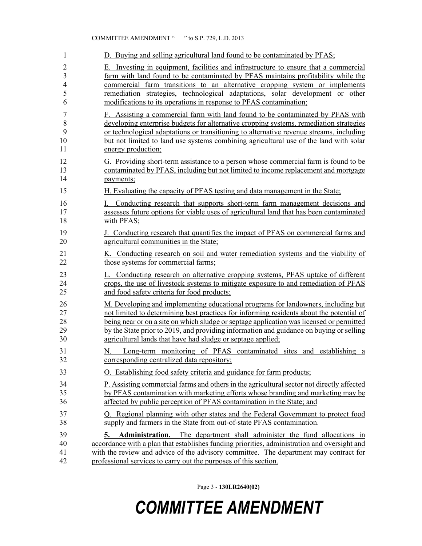| 1                    | D. Buying and selling agricultural land found to be contaminated by PFAS;                                                                                                                                                                                                                                                                         |
|----------------------|---------------------------------------------------------------------------------------------------------------------------------------------------------------------------------------------------------------------------------------------------------------------------------------------------------------------------------------------------|
| 2                    | E. Investing in equipment, facilities and infrastructure to ensure that a commercial                                                                                                                                                                                                                                                              |
| $\overline{3}$       | farm with land found to be contaminated by PFAS maintains profitability while the                                                                                                                                                                                                                                                                 |
| 4                    | commercial farm transitions to an alternative cropping system or implements                                                                                                                                                                                                                                                                       |
| 5                    | remediation strategies, technological adaptations, solar development or other                                                                                                                                                                                                                                                                     |
| 6                    | modifications to its operations in response to PFAS contamination;                                                                                                                                                                                                                                                                                |
| $\boldsymbol{7}$     | F. Assisting a commercial farm with land found to be contaminated by PFAS with                                                                                                                                                                                                                                                                    |
| 8                    | developing enterprise budgets for alternative cropping systems, remediation strategies                                                                                                                                                                                                                                                            |
| 9                    | or technological adaptations or transitioning to alternative revenue streams, including                                                                                                                                                                                                                                                           |
| 10                   | but not limited to land use systems combining agricultural use of the land with solar                                                                                                                                                                                                                                                             |
| 11                   | energy production;                                                                                                                                                                                                                                                                                                                                |
| 12                   | G. Providing short-term assistance to a person whose commercial farm is found to be                                                                                                                                                                                                                                                               |
| 13                   | contaminated by PFAS, including but not limited to income replacement and mortgage                                                                                                                                                                                                                                                                |
| 14                   | payments;                                                                                                                                                                                                                                                                                                                                         |
| 15                   | H. Evaluating the capacity of PFAS testing and data management in the State;                                                                                                                                                                                                                                                                      |
| 16                   | Conducting research that supports short-term farm management decisions and                                                                                                                                                                                                                                                                        |
| 17                   | assesses future options for viable uses of agricultural land that has been contaminated                                                                                                                                                                                                                                                           |
| 18                   | with PFAS;                                                                                                                                                                                                                                                                                                                                        |
| 19                   | J. Conducting research that quantifies the impact of PFAS on commercial farms and                                                                                                                                                                                                                                                                 |
| 20                   | agricultural communities in the State;                                                                                                                                                                                                                                                                                                            |
| 21                   | K. Conducting research on soil and water remediation systems and the viability of                                                                                                                                                                                                                                                                 |
| 22                   | those systems for commercial farms;                                                                                                                                                                                                                                                                                                               |
| 23                   | L. Conducting research on alternative cropping systems, PFAS uptake of different                                                                                                                                                                                                                                                                  |
| 24                   | crops, the use of livestock systems to mitigate exposure to and remediation of PFAS                                                                                                                                                                                                                                                               |
| 25                   | and food safety criteria for food products;                                                                                                                                                                                                                                                                                                       |
| 26                   | M. Developing and implementing educational programs for landowners, including but                                                                                                                                                                                                                                                                 |
| 27                   | not limited to determining best practices for informing residents about the potential of                                                                                                                                                                                                                                                          |
| 28                   | being near or on a site on which sludge or septage application was licensed or permitted                                                                                                                                                                                                                                                          |
| 29                   | by the State prior to 2019, and providing information and guidance on buying or selling                                                                                                                                                                                                                                                           |
| 30                   | agricultural lands that have had sludge or septage applied;                                                                                                                                                                                                                                                                                       |
| 31<br>32             | Long-term monitoring of PFAS contaminated sites and establishing a<br><u>N.</u><br>corresponding centralized data repository;                                                                                                                                                                                                                     |
| 33                   | O. Establishing food safety criteria and guidance for farm products;                                                                                                                                                                                                                                                                              |
| 34                   | P. Assisting commercial farms and others in the agricultural sector not directly affected                                                                                                                                                                                                                                                         |
| 35                   | by PFAS contamination with marketing efforts whose branding and marketing may be                                                                                                                                                                                                                                                                  |
| 36                   | affected by public perception of PFAS contamination in the State; and                                                                                                                                                                                                                                                                             |
| 37                   | Q. Regional planning with other states and the Federal Government to protect food                                                                                                                                                                                                                                                                 |
| 38                   | supply and farmers in the State from out-of-state PFAS contamination.                                                                                                                                                                                                                                                                             |
| 39<br>40<br>41<br>42 | <b>Administration.</b> The department shall administer the fund allocations in<br>5.<br>accordance with a plan that establishes funding priorities, administration and oversight and<br>with the review and advice of the advisory committee. The department may contract for<br>professional services to carry out the purposes of this section. |

COMMITTEE AMENDMENT " " to S.P. 729, L.D. 2013

Page 3 - **130LR2640(02)**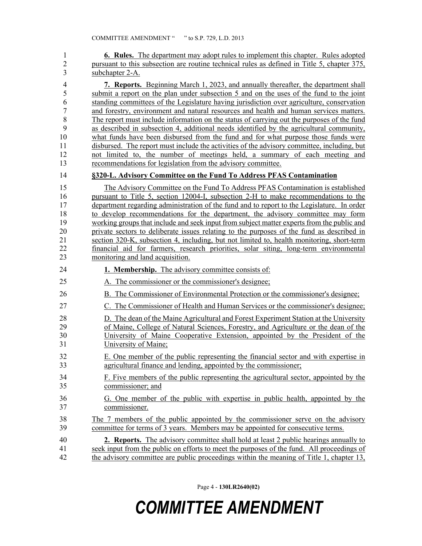| 1              | <b>6. Rules.</b> The department may adopt rules to implement this chapter. Rules adopted                                                                                               |
|----------------|----------------------------------------------------------------------------------------------------------------------------------------------------------------------------------------|
| $\overline{c}$ | pursuant to this subsection are routine technical rules as defined in Title 5, chapter 375,                                                                                            |
| 3              | subchapter 2-A.                                                                                                                                                                        |
| 4              | <b>7. Reports.</b> Beginning March 1, 2023, and annually thereafter, the department shall                                                                                              |
| 5              | submit a report on the plan under subsection 5 and on the uses of the fund to the joint                                                                                                |
| 6              | standing committees of the Legislature having jurisdiction over agriculture, conservation                                                                                              |
| $\overline{7}$ | and forestry, environment and natural resources and health and human services matters.                                                                                                 |
| 8              | The report must include information on the status of carrying out the purposes of the fund                                                                                             |
| 9              | as described in subsection 4, additional needs identified by the agricultural community,                                                                                               |
| 10             | what funds have been disbursed from the fund and for what purpose those funds were                                                                                                     |
| 11             | disbursed. The report must include the activities of the advisory committee, including, but                                                                                            |
| 12             | not limited to, the number of meetings held, a summary of each meeting and                                                                                                             |
| 13             | recommendations for legislation from the advisory committee.                                                                                                                           |
|                |                                                                                                                                                                                        |
| 14             | §320-L. Advisory Committee on the Fund To Address PFAS Contamination                                                                                                                   |
| 15             | The Advisory Committee on the Fund To Address PFAS Contamination is established                                                                                                        |
| 16             | pursuant to Title 5, section 12004-I, subsection 2-H to make recommendations to the                                                                                                    |
| 17             | department regarding administration of the fund and to report to the Legislature. In order                                                                                             |
| 18             | to develop recommendations for the department, the advisory committee may form                                                                                                         |
| 19             | working groups that include and seek input from subject matter experts from the public and                                                                                             |
| 20             | private sectors to deliberate issues relating to the purposes of the fund as described in                                                                                              |
| 21             | section 320-K, subsection 4, including, but not limited to, health monitoring, short-term                                                                                              |
| 22             | financial aid for farmers, research priorities, solar siting, long-term environmental                                                                                                  |
| 23             | monitoring and land acquisition.                                                                                                                                                       |
|                |                                                                                                                                                                                        |
| 24             | 1. Membership. The advisory committee consists of:                                                                                                                                     |
| 25             | A. The commissioner or the commissioner's designee;                                                                                                                                    |
| 26             | B. The Commissioner of Environmental Protection or the commissioner's designee;                                                                                                        |
| 27             | C. The Commissioner of Health and Human Services or the commissioner's designee;                                                                                                       |
| 28             | D. The dean of the Maine Agricultural and Forest Experiment Station at the University                                                                                                  |
| 29             | of Maine, College of Natural Sciences, Forestry, and Agriculture or the dean of the                                                                                                    |
| 30             | University of Maine Cooperative Extension, appointed by the President of the                                                                                                           |
| 31             | University of Maine;                                                                                                                                                                   |
|                |                                                                                                                                                                                        |
| 32             | E. One member of the public representing the financial sector and with expertise in                                                                                                    |
| 33             | agricultural finance and lending, appointed by the commissioner;                                                                                                                       |
| 34             | F. Five members of the public representing the agricultural sector, appointed by the                                                                                                   |
| 35             | commissioner; and                                                                                                                                                                      |
| 36             | G. One member of the public with expertise in public health, appointed by the                                                                                                          |
| 37             | commissioner.                                                                                                                                                                          |
|                |                                                                                                                                                                                        |
| 38             | The 7 members of the public appointed by the commissioner serve on the advisory                                                                                                        |
| 39             | committee for terms of 3 years. Members may be appointed for consecutive terms.                                                                                                        |
| 40             | <b>2. Reports.</b> The advisory committee shall hold at least 2 public hearings annually to                                                                                            |
| 41<br>42       | seek input from the public on efforts to meet the purposes of the fund. All proceedings of<br>the advisory committee are public proceedings within the meaning of Title 1, chapter 13, |

Page 4 - **130LR2640(02)**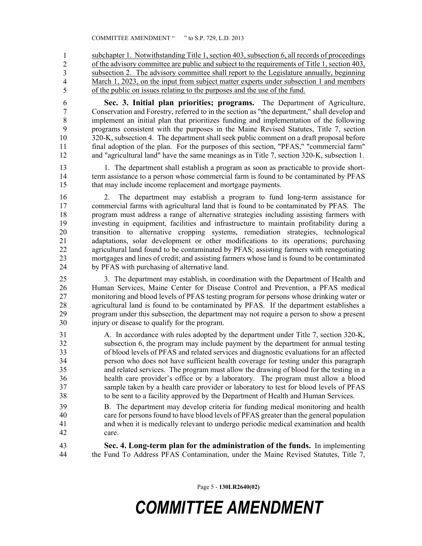subchapter 1. Notwithstanding Title 1, section 403, subsection 6, all records of proceedings of the advisory committee are public and subject to the requirements of Title 1, section 403, subsection 2. The advisory committee shall report to the Legislature annually, beginning March 1, 2023, on the input from subject matter experts under subsection 1 and members of the public on issues relating to the purposes and the use of the fund. 1 2 3 4 5

6 **Sec. 3. Initial plan priorities; programs.** The Department of Agriculture, 7 Conservation and Forestry, referred to in the section as "the department," shall develop and 8 implement an initial plan that prioritizes funding and implementation of the following 9 programs consistent with the purposes in the Maine Revised Statutes, Title 7, section 10 320-K, subsection 4. The department shall seek public comment on a draft proposal before 11 final adoption of the plan. For the purposes of this section, "PFAS," "commercial farm" 12 and "agricultural land" have the same meanings as in Title 7, section 320-K, subsection 1.

13 1. The department shall establish a program as soon as practicable to provide short-14 term assistance to a person whose commercial farm is found to be contaminated by PFAS 15 that may include income replacement and mortgage payments.

16 2. The department may establish a program to fund long-term assistance for 17 commercial farms with agricultural land that is found to be contaminated by PFAS. The 18 program must address a range of alternative strategies including assisting farmers with 19 investing in equipment, facilities and infrastructure to maintain profitability during a 20 transition to alternative cropping systems, remediation strategies, technological 21 adaptations, solar development or other modifications to its operations; purchasing 22 agricultural land found to be contaminated by PFAS; assisting farmers with renegotiating 23 mortgages and lines of credit; and assisting farmers whose land is found to be contaminated 24 by PFAS with purchasing of alternative land.

25 3. The department may establish, in coordination with the Department of Health and 26 Human Services, Maine Center for Disease Control and Prevention, a PFAS medical 27 monitoring and blood levels of PFAS testing program for persons whose drinking water or 28 agricultural land is found to be contaminated by PFAS. If the department establishes a 29 program under this subsection, the department may not require a person to show a present 30 injury or disease to qualify for the program.

31 A. In accordance with rules adopted by the department under Title 7, section 320-K, 32 subsection 6, the program may include payment by the department for annual testing 33 of blood levels of PFAS and related services and diagnostic evaluations for an affected 34 person who does not have sufficient health coverage for testing under this paragraph 35 and related services. The program must allow the drawing of blood for the testing in a 36 health care provider's office or by a laboratory. The program must allow a blood 37 sample taken by a health care provider or laboratory to test for blood levels of PFAS 38 to be sent to a facility approved by the Department of Health and Human Services.

- 39 B. The department may develop criteria for funding medical monitoring and health 40 care for persons found to have blood levels of PFAS greater than the general population 41 and when it is medically relevant to undergo periodic medical examination and health 42 care.
- 43 **Sec. 4. Long-term plan for the administration of the funds.** In implementing 44 the Fund To Address PFAS Contamination, under the Maine Revised Statutes, Title 7,

Page 5 - **130LR2640(02)**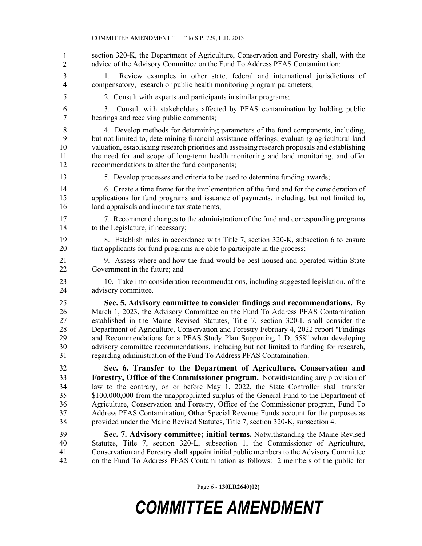section 320-K, the Department of Agriculture, Conservation and Forestry shall, with the advice of the Advisory Committee on the Fund To Address PFAS Contamination: 3 1. Review examples in other state, federal and international jurisdictions of 4 compensatory, research or public health monitoring program parameters; 5 2. Consult with experts and participants in similar programs; 6 3. Consult with stakeholders affected by PFAS contamination by holding public 7 hearings and receiving public comments; 8 4. Develop methods for determining parameters of the fund components, including, 9 but not limited to, determining financial assistance offerings, evaluating agricultural land 10 valuation, establishing research priorities and assessing research proposals and establishing 11 the need for and scope of long-term health monitoring and land monitoring, and offer 12 recommendations to alter the fund components; 13 5. Develop processes and criteria to be used to determine funding awards; 14 6. Create a time frame for the implementation of the fund and for the consideration of 15 applications for fund programs and issuance of payments, including, but not limited to, 16 land appraisals and income tax statements; 17 7. Recommend changes to the administration of the fund and corresponding programs 18 to the Legislature, if necessary; 19 8. Establish rules in accordance with Title 7, section 320-K, subsection 6 to ensure 20 that applicants for fund programs are able to participate in the process; 21 9. Assess where and how the fund would be best housed and operated within State 22 Government in the future; and 23 10. Take into consideration recommendations, including suggested legislation, of the 24 advisory committee. 25 **Sec. 5. Advisory committee to consider findings and recommendations.** By 26 March 1, 2023, the Advisory Committee on the Fund To Address PFAS Contamination 27 established in the Maine Revised Statutes, Title 7, section 320-L shall consider the 28 Department of Agriculture, Conservation and Forestry February 4, 2022 report "Findings 29 and Recommendations for a PFAS Study Plan Supporting L.D. 558" when developing 30 advisory committee recommendations, including but not limited to funding for research, 31 regarding administration of the Fund To Address PFAS Contamination. 32 **Sec. 6. Transfer to the Department of Agriculture, Conservation and**  33 **Forestry, Office of the Commissioner program.** Notwithstanding any provision of 34 law to the contrary, on or before May 1, 2022, the State Controller shall transfer 35 \$100,000,000 from the unappropriated surplus of the General Fund to the Department of 36 Agriculture, Conservation and Forestry, Office of the Commissioner program, Fund To 37 Address PFAS Contamination, Other Special Revenue Funds account for the purposes as 38 provided under the Maine Revised Statutes, Title 7, section 320-K, subsection 4. 39 **Sec. 7. Advisory committee; initial terms.** Notwithstanding the Maine Revised 40 Statutes, Title 7, section 320-L, subsection 1, the Commissioner of Agriculture, 41 Conservation and Forestry shall appoint initial public members to the Advisory Committee 42 on the Fund To Address PFAS Contamination as follows: 2 members of the public for 1 2

Page 6 - **130LR2640(02)**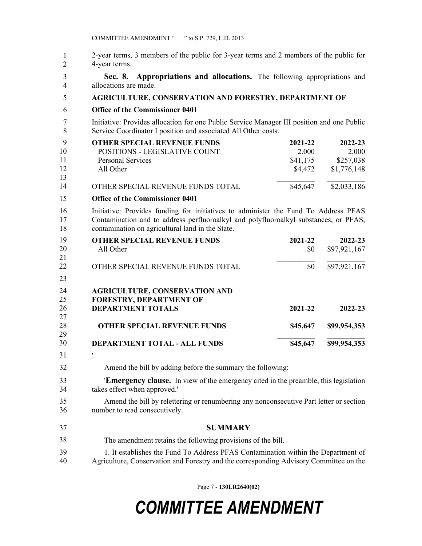| 2-year terms, 3 members of the public for 3-year terms and 2 members of the public for |
|----------------------------------------------------------------------------------------|
| 4-year terms.                                                                          |

3 **Sec. 8. Appropriations and allocations.** The following appropriations and 4 allocations are made.

| <b>AGRICULTURE, CONSERVATION AND FORESTRY, DEPARTMENT OF</b> |
|--------------------------------------------------------------|
|                                                              |

6 **Office of the Commissioner 0401**

7 Initiative: Provides allocation for one Public Service Manager III position and one Public 8 Service Coordinator I position and associated All Other costs.

| - 9 | <b>OTHER SPECIAL REVENUE FUNDS</b> | 2021-22  | 2022-23     |
|-----|------------------------------------|----------|-------------|
| 10  | POSITIONS - LEGISLATIVE COUNT      | 2.000    | 2.000       |
| 11  | Personal Services                  | \$41,175 | \$257,038   |
| 12  | All Other                          | \$4,472  | \$1,776,148 |
| 13  |                                    |          |             |
| 14  | OTHER SPECIAL REVENUE FUNDS TOTAL  | \$45,647 | \$2,033,186 |

### 9 **Office of the Commissioner 0401** 15

24 ' 31

16 Initiative: Provides funding for initiatives to administer the Fund To Address PFAS 17 Contamination and to address perfluoroalkyl and polyfluoroalkyl substances, or PFAS, 18 contamination on agricultural land in the State.

| 19 | <b>OTHER SPECIAL REVENUE FUNDS</b>   | 2021-22  | 2022-23      |
|----|--------------------------------------|----------|--------------|
| 20 | All Other                            | \$0      | \$97,921,167 |
| 21 |                                      |          |              |
| 22 | OTHER SPECIAL REVENUE FUNDS TOTAL    | \$0      | \$97,921,167 |
| 23 |                                      |          |              |
| 24 | <b>AGRICULTURE, CONSERVATION AND</b> |          |              |
| 25 | <b>FORESTRY, DEPARTMENT OF</b>       |          |              |
| 26 | <b>DEPARTMENT TOTALS</b>             | 2021-22  | $2022 - 23$  |
| 27 |                                      |          |              |
| 28 | <b>OTHER SPECIAL REVENUE FUNDS</b>   | \$45,647 | \$99,954,353 |
| 29 |                                      |          |              |
| 30 | <b>DEPARTMENT TOTAL - ALL FUNDS</b>  | \$45,647 | \$99,954,353 |

32 Amend the bill by adding before the summary the following:

33 '**Emergency clause.** In view of the emergency cited in the preamble, this legislation 34 takes effect when approved.'

35 Amend the bill by relettering or renumbering any nonconsecutive Part letter or section 36 number to read consecutively.

37 **SUMMARY**

The amendment retains the following provisions of the bill. 38

39 1. It establishes the Fund To Address PFAS Contamination within the Department of 40 Agriculture, Conservation and Forestry and the corresponding Advisory Committee on the

Page 7 - **130LR2640(02)**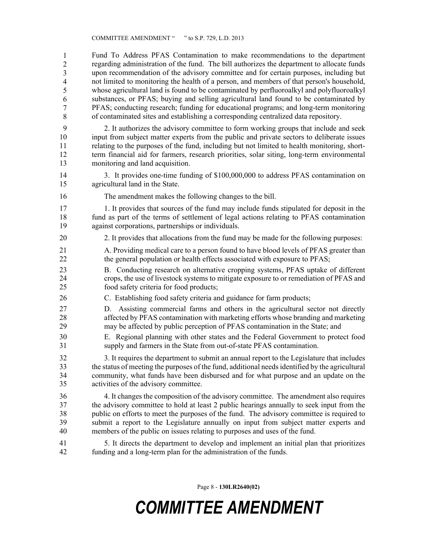41 Fund To Address PFAS Contamination to make recommendations to the department 42 regarding administration of the fund. The bill authorizes the department to allocate funds upon recommendation of the advisory committee and for certain purposes, including but not limited to monitoring the health of a person, and members of that person's household, whose agricultural land is found to be contaminated by perfluoroalkyl and polyfluoroalkyl substances, or PFAS; buying and selling agricultural land found to be contaminated by 47 PFAS; conducting research; funding for educational programs; and long-term monitoring 48 of contaminated sites and establishing a corresponding centralized data repository. 1 2 3 4 5 6 7 8

9 2. It authorizes the advisory committee to form working groups that include and seek 10 input from subject matter experts from the public and private sectors to deliberate issues 11 relating to the purposes of the fund, including but not limited to health monitoring, short-12 term financial aid for farmers, research priorities, solar siting, long-term environmental 13 monitoring and land acquisition.

14 3. It provides one-time funding of \$100,000,000 to address PFAS contamination on 15 agricultural land in the State.

16 The amendment makes the following changes to the bill.

17 1. It provides that sources of the fund may include funds stipulated for deposit in the 18 fund as part of the terms of settlement of legal actions relating to PFAS contamination 19 against corporations, partnerships or individuals.

- 20 2. It provides that allocations from the fund may be made for the following purposes:
- 21 A. Providing medical care to a person found to have blood levels of PFAS greater than 22 the general population or health effects associated with exposure to PFAS;
- 23 B. Conducting research on alternative cropping systems, PFAS uptake of different 24 crops, the use of livestock systems to mitigate exposure to or remediation of PFAS and 25 food safety criteria for food products;
- 26 C. Establishing food safety criteria and guidance for farm products;
- 27 D. Assisting commercial farms and others in the agricultural sector not directly 28 affected by PFAS contamination with marketing efforts whose branding and marketing 29 may be affected by public perception of PFAS contamination in the State; and
- 30 E. Regional planning with other states and the Federal Government to protect food 31 supply and farmers in the State from out-of-state PFAS contamination.

32 3. It requires the department to submit an annual report to the Legislature that includes 33 the status of meeting the purposes of the fund, additional needs identified by the agricultural 34 community, what funds have been disbursed and for what purpose and an update on the 35 activities of the advisory committee.

36 4. It changes the composition of the advisory committee. The amendment also requires 37 the advisory committee to hold at least 2 public hearings annually to seek input from the 38 public on efforts to meet the purposes of the fund. The advisory committee is required to 39 submit a report to the Legislature annually on input from subject matter experts and 40 members of the public on issues relating to purposes and uses of the fund.

41 5. It directs the department to develop and implement an initial plan that prioritizes 42 funding and a long-term plan for the administration of the funds.

Page 8 - **130LR2640(02)**